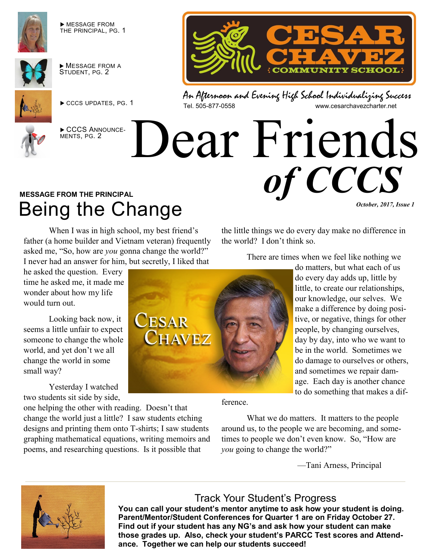

 MESSAGE FROM THE PRINCIPAL, PG. 1



 $\blacktriangleright$  MESSAGE FROM A STUDENT, PG. 2



CCCS UPDATES, PG. 1



CCCS ANNOUNCE-MENTS, PG. 2



An Afternoon and Evening High School Individualizing Success<br>Tel. 505-877-0558 www.cesarchavezcharter.net www.cesarchavezcharter.net

the little things we do every day make no difference in

There are times when we feel like nothing we

do matters, but what each of us

# Dear Friends *of CCCS*

the world? I don't think so.

## **MESSAGE FROM THE PRINCIPAL** Being the Change

When I was in high school, my best friend's father (a home builder and Vietnam veteran) frequently asked me, "So, how are *you* gonna change the world?" I never had an answer for him, but secretly, I liked that

he asked the question. Every time he asked me, it made me wonder about how my life would turn out.

Looking back now, it seems a little unfair to expect someone to change the whole world, and yet don't we all change the world in some small way?

Yesterday I watched two students sit side by side,

one helping the other with reading. Doesn't that change the world just a little? I saw students etching designs and printing them onto T-shirts; I saw students graphing mathematical equations, writing memoirs and poems, and researching questions. Is it possible that

**CESAR CHAVEZ** 

ference.

What we do matters. It matters to the people around us, to the people we are becoming, and sometimes to people we don't even know. So, "How are *you* going to change the world?"

—Tani Arness, Principal

to do something that makes a dif-

*October, 2017, Issue 1* 



#### Track Your Student's Progress

**You can call your student's mentor anytime to ask how your student is doing. Parent/Mentor/Student Conferences for Quarter 1 are on Friday October 27. Find out if your student has any NG's and ask how your student can make those grades up. Also, check your student's PARCC Test scores and Attendance. Together we can help our students succeed!**

do every day adds up, little by little, to create our relationships, our knowledge, our selves. We make a difference by doing positive, or negative, things for other people, by changing ourselves, day by day, into who we want to be in the world. Sometimes we do damage to ourselves or others, and sometimes we repair damage. Each day is another chance